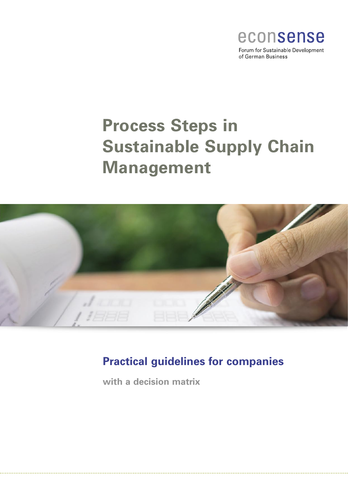

of German Business

# **Process Steps in Sustainable Supply Chain Management**



# **Practical guidelines for companies**

**with a decision matrix**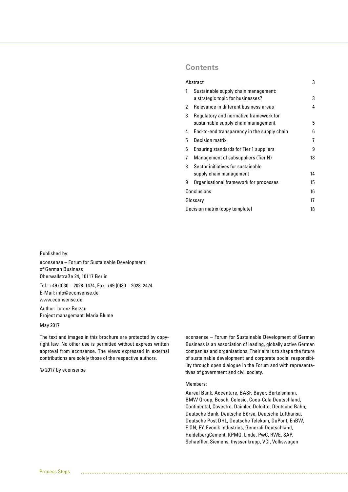## **Contents**

|                                 | Abstract                                                                      | 3  |  |  |
|---------------------------------|-------------------------------------------------------------------------------|----|--|--|
| 1                               | Sustainable supply chain management:<br>a strategic topic for businesses?     | 3  |  |  |
| 2                               | Relevance in different business areas                                         | 4  |  |  |
| 3                               | Regulatory and normative framework for<br>sustainable supply chain management | 5  |  |  |
| 4                               | End-to-end transparency in the supply chain                                   | 6  |  |  |
| 5                               | Decision matrix                                                               | 7  |  |  |
| 6                               | <b>Ensuring standards for Tier 1 suppliers</b>                                | 9  |  |  |
| 7                               | Management of subsuppliers (Tier N)                                           | 13 |  |  |
| 8                               | Sector initiatives for sustainable                                            |    |  |  |
|                                 | supply chain management                                                       | 14 |  |  |
| 9                               | Organisational framework for processes                                        | 15 |  |  |
| Conclusions                     | 16                                                                            |    |  |  |
| Glossary                        |                                                                               |    |  |  |
| Decision matrix (copy template) |                                                                               |    |  |  |

Published by:

econsense – Forum for Sustainable Development of German Business Oberwallstraße 24, 10117 Berlin

Tel.: +49 (0)30 – 2028-1474, Fax: +49 (0)30 – 2028-2474 E-Mail: info@econsense.de www.econsense.de

Author: Lorenz Berzau Project managemant: Maria Blume

#### May 2017

The text and images in this brochure are protected by copyright law. No other use is permitted without express written approval from econsense. The views expressed in external contributions are solely those of the respective authors.

© 2017 by econsense

econsense – Forum for Sustainable Development of German Business is an association of leading, globally active German companies and organisations. Their aim is to shape the future of sustainable development and corporate social responsibility through open dialogue in the Forum and with representatives of government and civil society.

#### Members:

Aareal Bank, Accenture, BASF, Bayer, Bertelsmann, BMW Group, Bosch, Celesio, Coca-Cola Deutschland, Continental, Covestro, Daimler, Deloitte, Deutsche Bahn, Deutsche Bank, Deutsche Börse, Deutsche Lufthansa, Deutsche Post DHL, Deutsche Telekom, DuPont, EnBW, E.ON, EY, Evonik Industries, Generali Deutschland, HeidelbergCement, KPMG, Linde, PwC, RWE, SAP, Schaeffler, Siemens, thyssenkrupp, VCI, Volkswagen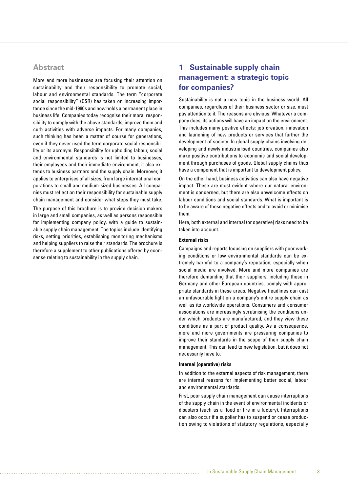## **Abstract**

More and more businesses are focusing their attention on sustainability and their responsibility to promote social, labour and environmental standards. The term "corporate social responsibility" (CSR) has taken on increasing importance since the mid-1990s and now holds a permanent place in business life. Companies today recognise their moral responsibility to comply with the above standards, improve them and curb activities with adverse impacts. For many companies, such thinking has been a matter of course for generations, even if they never used the term corporate social responsibility or its acronym. Responsibility for upholding labour, social and environmental standards is not limited to businesses, their employees and their immediate environment; it also extends to business partners and the supply chain. Moreover, it applies to enterprises of all sizes, from large international corporations to small and medium-sized businesses. All companies must reflect on their responsibility for sustainable supply chain management and consider what steps they must take.

The purpose of this brochure is to provide decision makers in large and small companies, as well as persons responsible for implementing company policy, with a guide to sustainable supply chain management. The topics include identifying risks, setting priorities, establishing monitoring mechanisms and helping suppliers to raise their standards. The brochure is therefore a supplement to other publications offered by econsense relating to sustainability in the supply chain.

# **1 Sustainable supply chain management: a strategic topic for companies?**

Sustainability is not a new topic in the business world. All companies, regardless of their business sector or size, must pay attention to it. The reasons are obvious: Whatever a company does, its actions will have an impact on the environment. This includes many positive effects: job creation, innovation and launching of new products or services that further the development of society. In global supply chains involving developing and newly industrialised countries, companies also make positive contributions to economic and social development through purchases of goods. Global supply chains thus have a component that is important to development policy.

On the other hand, business activities can also have negative impact. These are most evident where our natural environment is concerned, but there are also unwelcome effects on labour conditions and social standards. What is important is to be aware of these negative effects and to avoid or minimise them.

Here, both external and internal (or operative) risks need to be taken into account.

#### **External risks**

Campaigns and reports focusing on suppliers with poor working conditions or low environmental standards can be extremely harmful to a company's reputation, especially when social media are involved. More and more companies are therefore demanding that their suppliers, including those in Germany and other European countries, comply with appropriate standards in these areas. Negative headlines can cast an unfavourable light on a company's entire supply chain as well as its worldwide operations. Consumers and consumer associations are increasingly scrutinising the conditions under which products are manufactured, and they view these conditions as a part of product quality. As a consequence, more and more governments are pressuring companies to improve their standards in the scope of their supply chain management. This can lead to new legislation, but it does not necessarily have to.

#### **Internal (operative) risks**

In addition to the external aspects of risk management, there are internal reasons for implementing better social, labour and environmental stardards.

First, poor supply chain management can cause interruptions of the supply chain in the event of environmental incidents or disasters (such as a flood or fire in a factory). Interruptions can also occur if a supplier has to suspend or cease production owing to violations of statutory regulations, especially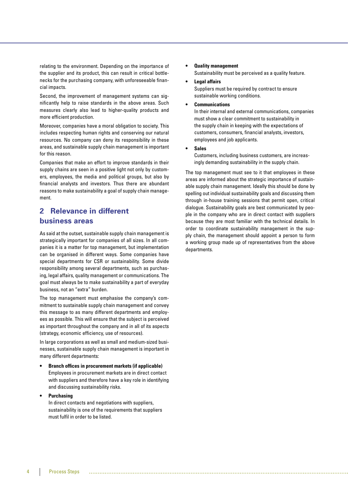relating to the environment. Depending on the importance of the supplier and its product, this can result in critical bottlenecks for the purchasing company, with unforeseeable financial impacts.

Second, the improvement of management systems can significantly help to raise standards in the above areas. Such measures clearly also lead to higher-quality products and more efficient production.

Moreover, companies have a moral obligation to society. This includes respecting human rights and conserving our natural resources. No company can deny its responsibility in these areas, and sustainable supply chain management is important for this reason.

Companies that make an effort to improve standards in their supply chains are seen in a positive light not only by customers, employees, the media and political groups, but also by financial analysts and investors. Thus there are abundant reasons to make sustainability a goal of supply chain management.

# **2 Relevance in different business areas**

As said at the outset, sustainable supply chain management is strategically important for companies of all sizes. In all companies it is a matter for top management, but implementation can be organised in different ways. Some companies have special departments for CSR or sustainability. Some divide responsibility among several departments, such as purchasing, legal affairs, quality management or communications. The goal must always be to make sustainability a part of everyday business, not an "extra" burden.

The top management must emphasise the company's commitment to sustainable supply chain management and convey this message to as many different departments and employees as possible. This will ensure that the subject is perceived as important throughout the company and in all of its aspects (strategy, economic efficiency, use of resources).

In large corporations as well as small and medium-sized businesses, sustainable supply chain management is important in many different departments:

## **• Branch offices in procurement markets (if applicable)**

 Employees in procurement markets are in direct contact with suppliers and therefore have a key role in identifying and discussing sustainability risks.

#### **• Purchasing**

 In direct contacts and negotiations with suppliers, sustainability is one of the requirements that suppliers must fulfil in order to be listed.

#### **• Quality management** Sustainability must be perceived as a quality feature.

- **Legal affairs** Suppliers must be required by contract to ensure sustainable working conditions.
- **Communications**

 In their internal and external communications, companies must show a clear commitment to sustainability in the supply chain in keeping with the expectations of customers, consumers, financial analysts, investors, employees and job applicants.

#### **• Sales**

 Customers, including business customers, are increasingly demanding sustainability in the supply chain.

The top management must see to it that employees in these areas are informed about the strategic importance of sustainable supply chain management. Ideally this should be done by spelling out individual sustainability goals and discussing them through in-house training sessions that permit open, critical dialogue. Sustainability goals are best communicated by people in the company who are in direct contact with suppliers because they are most familiar with the technical details. In order to coordinate sustainability management in the supply chain, the management should appoint a person to form a working group made up of representatives from the above departments.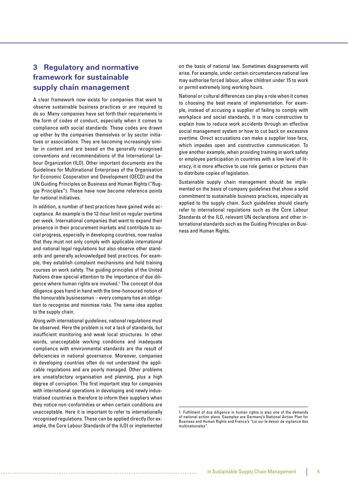# **3 Regulatory and normative framework for sustainable supply chain management**

A clear framework now exists for companies that want to observe sustainable business practices or are required to do so. Many companies have set forth their requirements in the form of codes of conduct, especially when it comes to compliance with social standards. These codes are drawn up either by the companies themselves or by sector initiatives or associations. They are becoming increasingly similar in content and are based on the generally recognised conventions and recommendations of the International Labour Organization (ILO). Other important documents are the Guidelines for Multinational Enterprises of the Organisation for Economic Cooperation and Development (OECD) and the UN Guiding Principles on Business and Human Rights ("Ruggie Principles"). These have now become reference points for national initiatives.

In addition, a number of best practices have gained wide acceptance. An example is the 12-hour limit on regular overtime per week. International companies that want to expand their presence in their procurement markets and contribute to social progress, especially in developing countries, now realise that they must not only comply with applicable international and national legal regulations but also observe other standards and generally acknowledged best practices. For example, they establish complaint mechanisms and hold training courses on work safety. The guiding principles of the United Nations draw special attention to the importance of due diligence where human rights are involved.1 The concept of due diligence goes hand in hand with the time-honoured notion of the honourable businessman – every company has an obligation to recognise and minimise risks. The same idea applies to the supply chain.

Along with international guidelines, national regulations must be observed. Here the problem is not a lack of standards, but insufficient monitoring and weak local structures. In other words, unacceptable working conditions and inadequate compliance with environmental standards are the result of deficiencies in national governance. Moreover, companies in developing countries often do not understand the applicable regulations and are poorly managed. Other problems are unsatisfactory organisation and planning, plus a high degree of corruption. The first important step for companies with international operations in developing and newly industrialised countries is therefore to inform their suppliers when they notice non-conformities or when certain conditions are unacceptable. Here it is important to refer to internationally recognised regulations. These can be applied directly (for example, the Core Labour Standards of the ILO) or implemented

on the basis of national law. Sometimes disagreements will arise. For example, under certain circumstances national law may authorise forced labour, allow children under 15 to work or permit extremely long working hours.

National or cultural differences can play a role when it comes to choosing the best means of implementation. For example, instead of accusing a supplier of failing to comply with workplace and social standards, it is more constructive to explain how to reduce work accidents through an effective social management system or how to cut back on excessive overtime. Direct accusations can make a supplier lose face, which impedes open and constructive communication. To give another example, when providing training in work safety or employee participation in countries with a low level of literacy, it is more effective to use role games or pictures than to distribute copies of legislation.

Sustainable supply chain management should be implemented on the basis of company guidelines that show a solid commitment to sustainable business practices, especially as applied to the supply chain. Such quidelines should clearly refer to international regulations such as the Core Labour Standards of the ILO, relevant UN declarations and other international standards such as the Guiding Principles on Business and Human Rights.

<sup>1</sup> Fulfilment of due diligence in human rights is also one of the demands of national action plans. Examples are Germany's National Action Plan for Business and Human Rights and France's "Loi sur le devoir de vigilance des multinationales".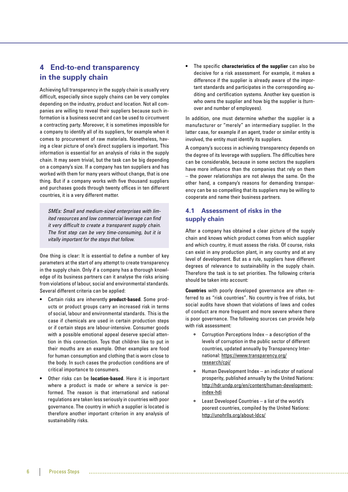# **4 End-to-end transparency in the supply chain**

Achieving full transparency in the supply chain is usually very difficult, especially since supply chains can be very complex depending on the industry, product and location. Not all companies are willing to reveal their suppliers because such information is a business secret and can be used to circumvent a contracting party. Moreover, it is sometimes impossible for a company to identify all of its suppliers, for example when it comes to procurement of raw materials. Nonetheless, having a clear picture of one's direct suppliers is important. This information is essential for an analysis of risks in the supply chain. It may seem trivial, but the task can be big depending on a company's size. If a company has ten suppliers and has worked with them for many years without change, that is one thing. But if a company works with five thousand suppliers and purchases goods through twenty offices in ten different countries, it is a very different matter.

SMEs: Small and medium-sized enterprises with limited resources and low commercial leverage can find it very difficult to create a transparent supply chain. The first step can be very time-consuming, but it is vitally important for the steps that follow.

One thing is clear: It is essential to define a number of key parameters at the start of any attempt to create transparency in the supply chain. Only if a company has a thorough knowledge of its business partners can it analyse the risks arising from violations of labour, social and environmental standards. Several different criteria can be applied:

- Certain risks are inherently **product-based**. Some products or product groups carry an increased risk in terms of social, labour and environmental standards. This is the case if chemicals are used in certain production steps or if certain steps are labour-intensive. Consumer goods with a possible emotional appeal deserve special attention in this connection. Toys that children like to put in their mouths are an example. Other examples are food for human consumption and clothing that is worn close to the body. In such cases the production conditions are of critical importance to consumers.
- Other risks can be **location-based**. Here it is important where a product is made or where a service is performed. The reason is that international and national regulations are taken less seriously in countries with poor governance. The country in which a supplier is located is therefore another important criterion in any analysis of sustainability risks.

**•** The specific **characteristics of the supplier** can also be decisive for a risk assessment. For example, it makes a difference if the supplier is already aware of the important standards and participates in the corresponding auditing and certification systems. Another key question is who owns the supplier and how big the supplier is (turnover and number of employees).

In addition, one must determine whether the supplier is a manufacturer or "merely" an intermediary supplier. In the latter case, for example if an agent, trader or similar entity is involved, the entity must identify its suppliers.

A company's success in achieving transparency depends on the degree of its leverage with suppliers. The difficulties here can be considerable, because in some sectors the suppliers have more influence than the companies that rely on them – the power relationships are not always the same. On the other hand, a company's reasons for demanding transparency can be so compelling that its suppliers may be willing to cooperate and name their business partners.

## **4.1 Assessment of risks in the supply chain**

After a company has obtained a clear picture of the supply chain and knows which product comes from which supplier and which country, it must assess the risks. Of course, risks can exist in any production plant, in any country and at any level of development. But as a rule, suppliers have different degrees of relevance to sustainability in the supply chain. Therefore the task is to set priorities. The following criteria should be taken into account:

**Countries** with poorly developed governance are often referred to as "risk countries". No country is free of risks, but social audits have shown that violations of laws and codes of conduct are more frequent and more severe where there is poor governance. The following sources can provide help with risk assessment:

- Corruption Perceptions Index a description of the levels of corruption in the public sector of different countries, updated annually by Transparency International: https://www.transparency.org/ research/cpi/
- $\circ$ Human Development Index – an indicator of national prosperity, published annually by the United Nations: http://hdr.undp.org/en/content/human-developmentindex-hdi
- $\circ$ Least Developed Countries – a list of the world's poorest countries, compiled by the United Nations: http://unohrlls.org/about-ldcs/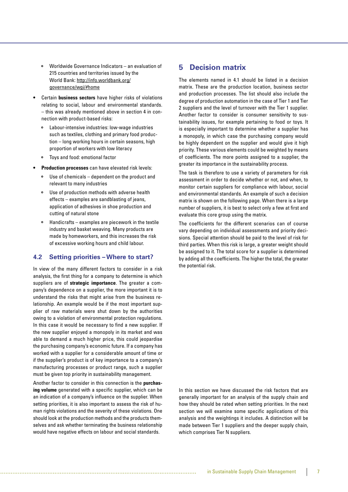- $\circ$ Worldwide Governance Indicators – an evaluation of 215 countries and territories issued by the World Bank: http://info.worldbank.org/ governance/wgi/#home
- Certain **business sectors** have higher risks of violations relating to social, labour and environmental standards. – this was already mentioned above in section 4 in connection with product-based risks:
	- Labour-intensive industries: low-wage industries  $\circ$ such as textiles, clothing and primary food production – long working hours in certain seasons, high proportion of workers with low literacy
	- Toys and food: emotional factor
- **Production processes** can have elevated risk levels:
	- $\circ$ Use of chemicals – dependent on the product and relevant to many industries
	- Use of production methods with adverse health effects – examples are sandblasting of jeans, application of adhesives in shoe production and cutting of natural stone
	- $\circ$ Handicrafts – examples are piecework in the textile industry and basket weaving. Many products are made by homeworkers, and this increases the risk of excessive working hours and child labour.

#### **4.2 Setting priorities – Where to start?**

In view of the many different factors to consider in a risk analysis, the first thing for a company to determine is which suppliers are of **strategic importance**. The greater a company's dependence on a supplier, the more important it is to understand the risks that might arise from the business relationship. An example would be if the most important supplier of raw materials were shut down by the authorities owing to a violation of environmental protection regulations. In this case it would be necessary to find a new supplier. If the new supplier enjoyed a monopoly in its market and was able to demand a much higher price, this could jeopardise the purchasing company's economic future. If a company has worked with a supplier for a considerable amount of time or if the supplier's product is of key importance to a company's manufacturing processes or product range, such a supplier must be given top priority in sustainability management.

Another factor to consider in this connection is the **purchasing volume** generated with a specific supplier, which can be an indication of a company's influence on the supplier. When setting priorities, it is also important to assess the risk of human rights violations and the severity of these violations. One should look at the production methods and the products themselves and ask whether terminating the business relationship would have negative effects on labour and social standards.

## **5 Decision matrix**

The elements named in 4.1 should be listed in a decision matrix. These are the production location, business sector and production processes. The list should also include the degree of production automation in the case of Tier 1 and Tier 2 suppliers and the level of turnover with the Tier 1 supplier. Another factor to consider is consumer sensitivity to sustainability issues, for example pertaining to food or toys. It is especially important to determine whether a supplier has a monopoly, in which case the purchasing company would be highly dependent on the supplier and would give it high priority. These various elements could be weighted by means of coefficients. The more points assigned to a supplier, the greater its importance in the sustainability process.

The task is therefore to use a variety of parameters for risk assessment in order to decide whether or not, and when, to monitor certain suppliers for compliance with labour, social and environmental standards. An example of such a decision matrix is shown on the following page. When there is a large number of suppliers, it is best to select only a few at first and evaluate this core group using the matrix.

The coefficients for the different scenarios can of course vary depending on individual assessments and priority decisions. Special attention should be paid to the level of risk for third parties. When this risk is large, a greater weight should be assigned to it. The total score for a supplier is determined by adding all the coefficients. The higher the total, the greater the potential risk.

In this section we have discussed the risk factors that are generally important for an analysis of the supply chain and how they should be rated when setting priorities. In the next section we will examine some specific applications of this analysis and the weightings it includes. A distinction will be made between Tier 1 suppliers and the deeper supply chain, which comprises Tier N suppliers.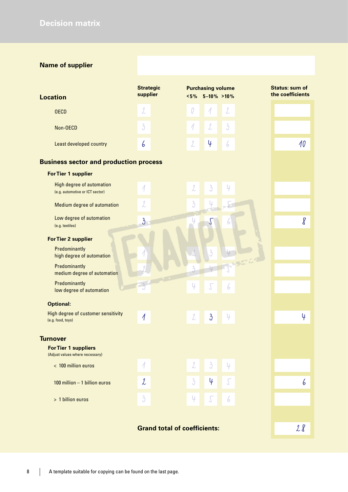# **Name of supplier**

| <b>Location</b>         | <b>Strategic</b><br>supplier | <b>Purchasing volume</b><br>$5\%$ 5-10% >10% | <b>Status: sum of</b><br>the coefficients |
|-------------------------|------------------------------|----------------------------------------------|-------------------------------------------|
| <b>OECD</b>             | 2                            |                                              |                                           |
| Non-OECD                | $\mathfrak{z}$               | $\mathfrak{Z}$<br>2                          |                                           |
| Least developed country | ь                            | I<br>U<br>6                                  | 10                                        |
|                         |                              |                                              |                                           |

## **Business sector and production process**

| <b>For Tier 1 supplier</b>                                          |                           |  |                           |                           |            |    |                     |   |
|---------------------------------------------------------------------|---------------------------|--|---------------------------|---------------------------|------------|----|---------------------|---|
| <b>High degree of automation</b><br>(e.g. automotive or ICT sector) | 1                         |  | $\mathcal{L}$             | $\overline{\mathfrak{Z}}$ | 4          |    |                     |   |
| Medium degree of automation                                         | 2                         |  | $\overline{3}$            |                           |            |    |                     |   |
| Low degree of automation<br>(e.g. textiles)                         | $\overline{\mathfrak{z}}$ |  | Ų                         | J                         | 6          |    | $\pmb{\mathcal{g}}$ |   |
| <b>For Tier 2 supplier</b>                                          |                           |  |                           |                           |            |    |                     |   |
| Predominantly<br>high degree of automation                          |                           |  |                           | $\overline{3}$            |            |    |                     |   |
| Predominantly<br>medium degree of automation                        |                           |  | 3                         |                           |            |    |                     |   |
| Predominantly<br>low degree of automation                           |                           |  | 4                         | $\sqrt{\phantom{.}}$      | 6          |    |                     |   |
| <b>Optional:</b>                                                    |                           |  |                           |                           |            |    |                     |   |
| High degree of customer sensitivity<br>(e.g. food, toys)            | 1                         |  | $\mathcal{L}$             | $\mathfrak{z}$            | 4          |    | 4                   |   |
| <b>Turnover</b>                                                     |                           |  |                           |                           |            |    |                     |   |
| <b>For Tier 1 suppliers</b><br>(Adjust values where necessary)      |                           |  |                           |                           |            |    |                     |   |
| < 100 million euros                                                 | 1                         |  | $\mathcal{L}$             | $\mathfrak{Z}$            | 4          |    |                     |   |
| 100 million $-1$ billion euros                                      | $\mathcal{L}$             |  | $\overline{\mathfrak{z}}$ | 4                         | $\sqrt{ }$ |    |                     | 6 |
| > 1 billion euros                                                   | $\overline{\mathfrak{z}}$ |  | 4                         | $\sqrt$                   | 6          |    |                     |   |
|                                                                     |                           |  |                           |                           |            |    |                     |   |
| <b>Grand total of coefficients:</b>                                 |                           |  |                           |                           |            | 28 |                     |   |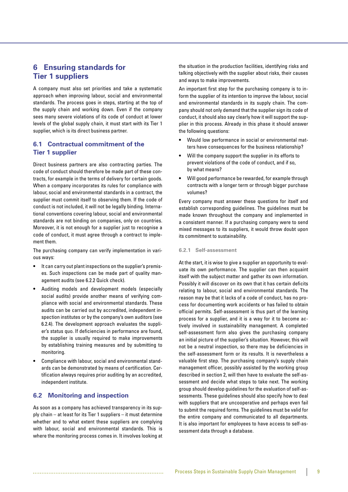# **6 Ensuring standards for Tier 1 suppliers**

A company must also set priorities and take a systematic approach when improving labour, social and environmental standards. The process goes in steps, starting at the top of the supply chain and working down. Even if the company sees many severe violations of its code of conduct at lower levels of the global supply chain, it must start with its Tier 1 supplier, which is its direct business partner.

## **6.1 Contractual commitment of the Tier 1 supplier**

Direct business partners are also contracting parties. The code of conduct should therefore be made part of these contracts, for example in the terms of delivery for certain goods. When a company incorporates its rules for compliance with labour, social and environmental standards in a contract, the supplier must commit itself to observing them. If the code of conduct is not included, it will not be legally binding. International conventions covering labour, social and environmental standards are not binding on companies, only on countries. Moreover, it is not enough for a supplier just to recognise a code of conduct, it must agree through a contract to implement them.

The purchasing company can verify implementation in various ways:

- It can carry out plant inspections on the supplier's premises. Such inspections can be made part of quality management audits (see 6.2.2 Quick check).
- Auditing models and development models (especially social audits) provide another means of verifying compliance with social and environmental standards. These audits can be carried out by accredited, independent inspection institutes or by the company's own auditors (see 6.2.4). The development approach evaluates the supplier's status quo. If deficiencies in performance are found, the supplier is usually required to make improvements by establishing training measures and by submitting to monitoring.
- Compliance with labour, social and environmental standards can be demonstrated by means of certification. Certification always requires prior auditing by an accredited, independent institute.

### **6.2 Monitoring and inspection**

As soon as a company has achieved transparency in its supply chain – at least for its Tier 1 suppliers – it must determine whether and to what extent these suppliers are complying with labour, social and environmental standards. This is where the monitoring process comes in. It involves looking at

the situation in the production facilities, identifying risks and talking objectively with the supplier about risks, their causes and ways to make improvements.

An important first step for the purchasing company is to inform the supplier of its intention to improve the labour, social and environmental standards in its supply chain. The company should not only demand that the supplier sign its code of conduct, it should also say clearly how it will support the supplier in this process. Already in this phase it should answer the following questions:

- Would low performance in social or environmental matters have consequences for the business relationship?
- Will the company support the supplier in its efforts to prevent violations of the code of conduct, and if so, by what means?
- Will good performance be rewarded, for example through contracts with a longer term or through bigger purchase volumes?

Every company must answer these questions for itself and establish corresponding guidelines. The guidelines must be made known throughout the company and implemented in a consistent manner. If a purchasing company were to send mixed messages to its suppliers, it would throw doubt upon its commitment to sustainability.

#### **6.2.1 Self-assessment**

At the start, it is wise to give a supplier an opportunity to evaluate its own performance. The supplier can then acquaint itself with the subject matter and gather its own information. Possibly it will discover on its own that it has certain deficits relating to labour, social and environmental standards. The reason may be that it lacks of a code of conduct, has no process for documenting work accidents or has failed to obtain official permits. Self-assessment is thus part of the learning process for a supplier, and it is a way for it to become actively involved in sustainability management. A completed self-assessment form also gives the purchasing company an initial picture of the supplier's situation. However, this will not be a neutral inspection, so there may be deficiencies in the self-assessment form or its results. It is nevertheless a valuable first step. The purchasing company's supply chain management officer, possibly assisted by the working group described in section 2, will then have to evaluate the self-assessment and decide what steps to take next. The working group should develop guidelines for the evaluation of self-assessments. These guidelines should also specify how to deal with suppliers that are uncooperative and perhaps even fail to submit the required forms. The guidelines must be valid for the entire company and communicated to all departments. It is also important for employees to have access to self-assessment data through a database.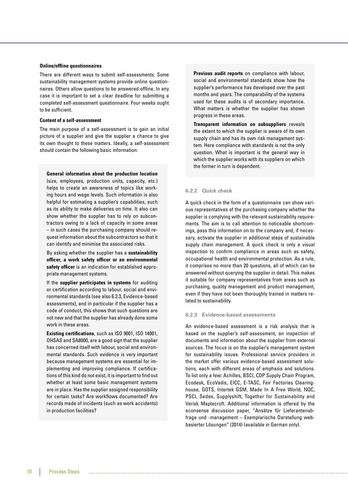#### **Online/offline questionnaires**

There are different ways to submit self-assessments. Some sustainability management systems provide online questionnaires. Others allow questions to be answered offline. In any case it is important to set a clear deadline for submitting a completed self-assessment questionnaire. Four weeks ought to be sufficient.

#### **Content of a self-assessment**

The main purpose of a self-assessment is to gain an initial picture of a supplier and give the supplier a chance to give its own thought to these matters. Ideally, a self-assessment should contain the following basic information:

**General information about the production location**  (size, employees, production units, capacity, etc.) helps to create an awareness of topics like working hours and wage levels. Such information is also helpful for estimating a supplier's capabilities, such as its ability to make deliveries on time. It also can show whether the supplier has to rely on subcontractors owing to a lack of capacity in some areas – in such cases the purchasing company should request information about the subcontractors so that it can identify and minimise the associated risks.

By asking whether the supplier has a **sustainability officer, a work safety officer or an environmental safety officer** is an indication for established appropriate management systems.

If the **supplier participates in systems** for auditing or certification according to labour, social and environmental standards (see also 6.2.3, Evidence-based assessments), and in particular if the supplier has a code of conduct, this shows that such questions are not new and that the supplier has already done some work in these areas.

**Existing certifications**, such as ISO 9001, ISO 14001, OHSAS and SA8000, are a good sign that the supplier has concerned itself with labour, social and environmental standards. Such evidence is very important because management systems are essential for implementing and improving compliance. If certifications of this kind do not exist, it is important to find out whether at least some basic management systems are in place. Has the supplier assigned responsibility for certain tasks? Are workflows documented? Are records made of incidents (such as work accidents) in production facilities?

**Previous audit reports** on compliance with labour, social and environmental standards show how the supplier's performance has developed over the past months and years. The comparability of the systems used for these audits is of secondary importance. What matters is whether the supplier has shown progress in these areas.

**Transparent information on subsuppliers** reveals the extent to which the supplier is aware of its own supply chain and has its own risk management system. Here compliance with standards is not the only question. What is important is the general way in which the supplier works with its suppliers on which the former in turn is dependent.

#### **6.2.2 Quick check**

A quick check in the form of a questionnaire can show various representatives of the purchasing company whether the supplier is complying with the relevant sustainability requirements. The aim is to call attention to noticeable shortcomings, pass this information on to the company and, if necessary, activate the supplier in additional steps of sustainable supply chain management. A quick check is only a visual inspection to confirm compliance in areas such as safety, occupational health and environmental protection. As a rule, it comprises no more than 20 questions, all of which can be answered without querying the supplier in detail. This makes it suitable for company representatives from areas such as purchasing, quality management and product management, even if they have not been thoroughly trained in matters related to sustainability.

#### **6.2.3 Evidence-based assessments**

An evidence-based assessment is a risk analysis that is based on the supplier's self-assessment, an inspection of documents and information about the supplier from external sources. The focus is on the supplier's management system for sustainability issues. Professional service providers in the market offer various evidence-based assessment solutions, each with different areas of emphasis and solutions. To list only a few: Achilles, BSCI, CDP Supply Chain Program, Ecodesk, EcoVadis, EICC, E-TASC, Fair Factories Clearinghouse, GOTS, Intertek GSM, Made In A Free World, NQC, PSCI, Sedex, Supplyshift, Together for Sustainability and Verisk Maplecroft. Additional information is offered by the econsense discussion paper, "Ansätze für Lieferantenabfrage und -management – Exemplarische Darstellung webbasierter Lösungen" (2014) (available in German only).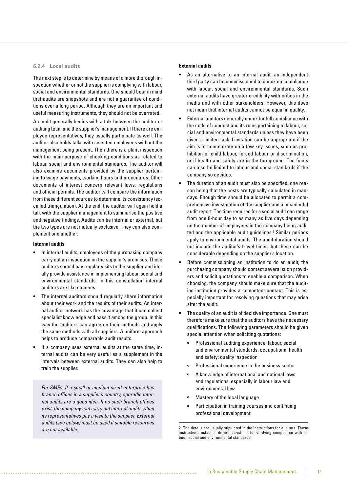#### **6.2.4 Local audits**

The next step is to determine by means of a more thorough inspection whether or not the supplier is complying with labour, social and environmental standards. One should bear in mind that audits are snapshots and are not a guarantee of conditions over a long period. Although they are an important and useful measuring instruments, they should not be overrated.

An audit generally begins with a talk between the auditor or auditing team and the supplier's management. If there are employee representatives, they usually participate as well. The auditor also holds talks with selected employees without the management being present. Then there is a plant inspection with the main purpose of checking conditions as related to labour, social and environmental standards. The auditor will also examine documents provided by the supplier pertaining to wage payments, working hours and procedures. Other documents of interest concern relevant laws, regulations and official permits. The auditor will compare the information from these different sources to determine its consistency (socalled triangulation). At the end, the auditor will again hold a talk with the supplier management to summarise the positive and negative findings. Audits can be internal or external, but the two types are not mutually exclusive. They can also complement one another.

#### **Internal audits**

- In internal audits, employees of the purchasing company carry out an inspection on the supplier's premises. These auditors should pay regular visits to the supplier and ideally provide assistance in implementing labour, social and environmental standards. In this constellation internal auditors are like coaches.
- The internal auditors should regularly share information about their work and the results of their audits. An internal auditor network has the advantage that it can collect specialist knowledge and pass it among the group. In this way the auditors can agree on their methods and apply the same methods with all suppliers. A uniform approach helps to produce comparable audit results.
- If a company uses external audits at the same time, internal audits can be very useful as a supplement in the intervals between external audits. They can also help to train the supplier.

For SMEs: If a small or medium-sized enterprise has branch offices in a supplier's country, sporadic internal audits are a good idea. If no such branch offices exist, the company can carry out internal audits when its representatives pay a visit to the supplier. External audits (see below) must be used if suitable resources are not available.

#### **External audits**

- As an alternative to an internal audit, an independent third party can be commissioned to check on compliance with labour, social and environmental standards. Such external audits have greater credibility with critics in the media and with other stakeholders. However, this does not mean that internal audits cannot be equal in quality.
- External auditors generally check for full compliance with the code of conduct and its rules pertaining to labour, social and environmental standards unless they have been given a limited task. Limitation can be appropriate if the aim is to concentrate on a few key issues, such as prohibition of child labour, forced labour or discrimination, or if health and safety are in the foreground. The focus can also be limited to labour and social standards if the company so decides.
- The duration of an audit must also be specified, one reason being that the costs are typically calculated in mandays. Enough time should be allocated to permit a comprehensive investigation of the supplier and a meaningful audit report. The time required for a social audit can range from one 8-hour day to as many as five days depending on the number of employees in the company being audited and the applicable audit guidelines.<sup>2</sup> Similar periods apply to environmental audits. The audit duration should not include the auditor's travel times, but these can be considerable depending on the supplier's location.
- Before commissioning an institution to do an audit, the purchasing company should contact several such providers and solicit quotations to enable a comparison. When choosing, the company should make sure that the auditing institution provides a competent contact. This is especially important for resolving questions that may arise after the audit.
- The quality of an audit is of decisive importance. One must therefore make sure that the auditors have the necessary qualifications. The following parameters should be given special attention when soliciting quotations:
	- Professional auditing experience: labour, social and environmental standards; occupational health and safety; quality inspection
	- $\circ$ Professional experience in the business sector
	- A knowledge of international and national laws  $\circ$  and regulations, especially in labour law and environmental law
	- $\circ$ Mastery of the local language
	- Participation in training courses and continuing  $\circ$ professional development

<sup>2</sup> The details are usually stipulated in the instructions for auditors. These instructions establish different systems for verifying compliance with labour, social and environmental standards.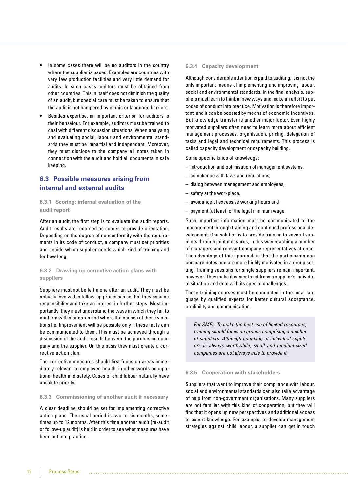- In some cases there will be no auditors in the country where the supplier is based. Examples are countries with very few production facilities and very little demand for audits. In such cases auditors must be obtained from other countries. This in itself does not diminish the quality of an audit, but special care must be taken to ensure that the audit is not hampered by ethnic or language barriers.
- Besides expertise, an important criterion for auditors is their behaviour. For example, auditors must be trained to deal with different discussion situations. When analysing and evaluating social, labour and environmental standards they must be impartial and independent. Moreover, they must disclose to the company all notes taken in connection with the audit and hold all documents in safe keeping.

## **6.3 Possible measures arising from internal and external audits**

#### **6.3.1 Scoring: internal evaluation of the audit report**

After an audit, the first step is to evaluate the audit reports. Audit results are recorded as scores to provide orientation. Depending on the degree of nonconformity with the requirements in its code of conduct, a company must set priorities and decide which supplier needs which kind of training and for how long.

#### **6.3.2 Drawing up corrective action plans with suppliers**

Suppliers must not be left alone after an audit. They must be actively involved in follow-up processes so that they assume responsibility and take an interest in further steps. Most importantly, they must understand the ways in which they fail to conform with standards and where the causes of these violations lie. Improvement will be possible only if these facts can be communicated to them. This must be achieved through a discussion of the audit results between the purchasing company and the supplier. On this basis they must create a corrective action plan.

The corrective measures should first focus on areas immediately relevant to employee health, in other words occupational health and safety. Cases of child labour naturally have absolute priority.

#### **6.3.3 Commissioning of another audit if necessary**

A clear deadline should be set for implementing corrective action plans. The usual period is two to six months, sometimes up to 12 months. After this time another audit (re-audit or follow-up audit) is held in order to see what measures have been put into practice.

#### **6.3.4 Capacity development**

Although considerable attention is paid to auditing, it is not the only important means of implementing und improving labour, social and environmental standards. In the final analysis, suppliers must learn to think in new ways and make an effort to put codes of conduct into practice. Motivation is therefore important, and it can be boosted by means of economic incentives. But knowledge transfer is another major factor. Even highly motivated suppliers often need to learn more about efficient management processes, organisation, pricing, delegation of tasks and legal and technical requirements. This process is called capacity development or capacity building.

Some specific kinds of knowledge:

- introduction and optimisation of management systems,
- compliance with laws and regulations,
- dialog between management and employees,
- safety at the workplace,
- avoidance of excessive working hours and
- payment (at least) of the legal minimum wage.

Such important information must be communicated to the management through training and continued professional development. One solution is to provide training to several suppliers through joint measures, in this way reaching a number of managers and relevant company representatives at once. The advantage of this approach is that the participants can compare notes and are more highly motivated in a group setting. Training sessions for single suppliers remain important, however. They make it easier to address a supplier's individual situation and deal with its special challenges.

These training courses must be conducted in the local language by qualified experts for better cultural acceptance, credibility and communication.

For SMEs: To make the best use of limited resources, training should focus on groups comprising a number of suppliers. Although coaching of individual suppliers is always worthwhile, small and medium-sized companies are not always able to provide it.

#### **6.3.5 Cooperation with stakeholders**

Suppliers that want to improve their compliance with labour, social and environmental standards can also take advantage of help from non-government organisations. Many suppliers are not familiar with this kind of cooperation, but they will find that it opens up new perspectives and additional access to expert knowledge. For example, to develop management strategies against child labour, a supplier can get in touch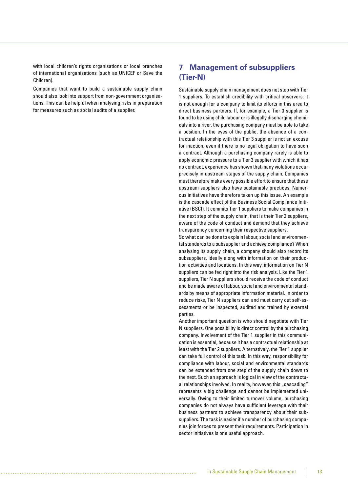with local children's rights organisations or local branches of international organisations (such as UNICEF or Save the Children).

Companies that want to build a sustainable supply chain should also look into support from non-government organisations. This can be helpful when analysing risks in preparation for measures such as social audits of a supplier.

# **7 Management of subsuppliers (Tier-N)**

Sustainable supply chain management does not stop with Tier 1 suppliers. To establish credibility with critical observers, it is not enough for a company to limit its efforts in this area to direct business partners. If, for example, a Tier 3 supplier is found to be using child labour or is illegally discharging chemicals into a river, the purchasing company must be able to take a position. In the eyes of the public, the absence of a contractual relationship with this Tier 3 supplier is not an excuse for inaction, even if there is no legal obligation to have such a contract. Although a purchasing company rarely is able to apply economic pressure to a Tier 3 supplier with which it has no contract, experience has shown that many violations occur precisely in upstream stages of the supply chain. Companies must therefore make every possible effort to ensure that these upstream suppliers also have sustainable practices. Numerous initiatives have therefore taken up this issue. An example is the cascade effect of the Business Social Compliance Initiative (BSCI). It commits Tier 1 suppliers to make companies in the next step of the supply chain, that is their Tier 2 suppliers, aware of the code of conduct and demand that they achieve transparency concerning their respective suppliers.

So what can be done to explain labour, social and environmental standards to a subsupplier and achieve compliance? When analysing its supply chain, a company should also record its subsuppliers, ideally along with information on their production activities and locations. In this way, information on Tier N suppliers can be fed right into the risk analysis. Like the Tier 1 suppliers, Tier N suppliers should receive the code of conduct and be made aware of labour, social and environmental standards by means of appropriate information material. In order to reduce risks, Tier N suppliers can and must carry out self-assessments or be inspected, audited and trained by external parties.

Another important question is who should negotiate with Tier N suppliers. One possibility is direct control by the purchasing company. Involvement of the Tier 1 supplier in this communication is essential, because it has a contractual relationship at least with the Tier 2 suppliers. Alternatively, the Tier 1 supplier can take full control of this task. In this way, responsibility for compliance with labour, social and environmental standards can be extended from one step of the supply chain down to the next. Such an approach is logical in view of the contractual relationships involved. In reality, however, this "cascading" represents a big challenge and cannot be implemented universally. Owing to their limited turnover volume, purchasing companies do not always have sufficient leverage with their business partners to achieve transparency about their subsuppliers. The task is easier if a number of purchasing companies join forces to present their requirements. Participation in sector initiatives is one useful approach.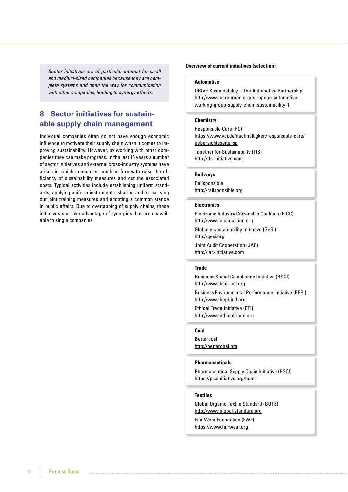Sector initiatives are of particular interest for small and medium-sized companies because they are complete systems and open the way for communication with other companies, leading to synergy effects.

# **8 Sector initiatives for sustainable supply chain management**

Individual companies often do not have enough economic influence to motivate their supply chain when it comes to improving sustainability. However, by working with other companies they can make progress. In the last 15 years a number of sector initiatives and external cross-industry systems have arisen in which companies combine forces to raise the efficiency of sustainability measures and cut the associated costs. Typical activities include establishing uniform standards, applying uniform instruments, sharing audits, carrying out joint training measures and adopting a common stance in public affairs. Due to overlapping of supply chains, these initiatives can take advantage of synergies that are unavailable to single companies.

#### **Overview of current initiatives (selection):**

#### **Automotive**

DRIVE Sustainability – The Automotive Partnership http://www.csreurope.org/european-automotiveworking-group-supply-chain-sustainability-1

#### **Chemistry**

Responsible Care (RC) https://www.vci.de/nachhaltigkeit/responsible-care/ uebersichtsseite.jsp Together for Sustainability (TfS) http://tfs-initiative.com

#### **Railways**

Railsponsible http://railsponsible.org

#### **Electronics**

Electronic Industry Citizenship Coalition (EICC) http://www.eiccoalition.org Global e-sustainability Initiative (GeSi) http://gesi.org Joint Audit Cooperation (JAC) http://jac-initiative.com

#### **Trade**

Business Social Compliance Initiative (BSCI) http://www.bsci-intl.org Business Environmental Performance Initiative (BEPI) http://www.bepi-intl.org Ethical Trade Initiative (ETI) http://www.ethicaltrade.org

#### **Coal**

Bettercoal http://bettercoal.org

#### **Pharmaceuticals**

Pharmaceutical Supply Chain Initiative (PSCI) https://pscinitiative.org/home

#### **Textiles**

Global Organic Textile Standard (GOTS) http://www.global-standard.org Fair Wear Foundation (FWF) https://www.fairwear.org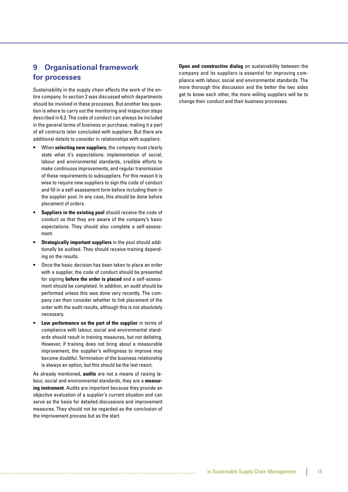# **9 Organisational framework for processes**

Sustainability in the supply chain affects the work of the entire company. In section 2 was discussed which departments should be involved in these processes. But another key question is where to carry out the monitoring and inspection steps described in 6.2. The code of conduct can always be included in the general terms of business or purchase, making it a part of all contracts later concluded with suppliers. But there are additional details to consider in relationships with suppliers:

- When **selecting new suppliers**, the company must clearly state what it's expectations: implementation of social, labour and environmental standards, credible efforts to make continuous improvements, and regular transmission of these requirements to subsuppliers. For this reason it is wise to require new suppliers to sign the code of conduct and fill in a self-assessment form before including them in the supplier pool. In any case, this should be done before placement of orders.
- **Suppliers in the existing pool** should receive the code of conduct so that they are aware of the company's basic expectations. They should also complete a self-assessment.
- **Strategically important suppliers** in the pool should additionally be audited. They should receive training depending on the results.
- Once the basic decision has been taken to place an order with a supplier, the code of conduct should be presented for signing **before the order is placed** and a self-assessment should be completed. In addition, an audit should be performed unless this was done very recently. The company can then consider whether to link placement of the order with the audit results, although this is not absolutely necessary.
- **Low performance on the part of the supplier** in terms of compliance with labour, social and environmental standards should result in training measures, but not delisting. However, if training does not bring about a measurable improvement, the supplier's willingness to improve may become doubtful. Termination of the business relationship is always an option, but this should be the last resort.

As already mentioned, **audits** are not a means of raising labour, social and environmental standards, they are a **measuring instrument**. Audits are important because they provide an objective evaluation of a supplier's current situation and can serve as the basis for detailed discussions and improvement measures. They should not be regarded as the conclusion of the improvement process but as the start.

**Open and constructive dialog** on sustainability between the company and its suppliers is essential for improving compliance with labour, social and environmental standards. The more thorough this discussion and the better the two sides get to know each other, the more willing suppliers will be to change their conduct and their business processes.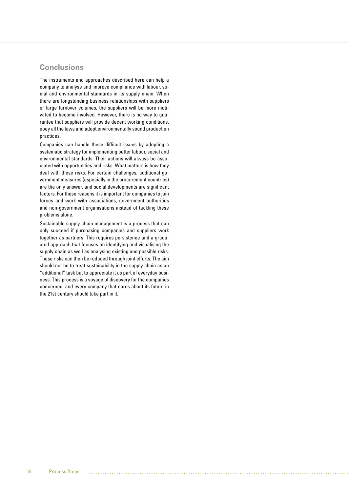## **Conclusions**

The instruments and approaches described here can help a company to analyse and improve compliance with labour, social and environmental standards in its supply chain. When there are longstanding business relationships with suppliers or large turnover volumes, the suppliers will be more motivated to become involved. However, there is no way to guarantee that suppliers will provide decent working conditions, obey all the laws and adopt environmentally sound production practices.

Companies can handle these difficult issues by adopting a systematic strategy for implementing better labour, social and environmental standards. Their actions will always be associated with opportunities and risks. What matters is how they deal with these risks. For certain challenges, additional government measures (especially in the procurement countries) are the only answer, and social developments are significant factors. For these reasons it is important for companies to join forces and work with associations, government authorities and non-government organisations instead of tackling these problems alone.

Sustainable supply chain management is a process that can only succeed if purchasing companies and suppliers work together as partners. This requires persistence and a graduated approach that focuses on identifying and visualising the supply chain as well as analysing existing and possible risks. These risks can then be reduced through joint efforts. The aim should not be to treat sustainability in the supply chain as an "additional" task but to appreciate it as part of everyday business. This process is a voyage of discovery for the companies concerned, and every company that cares about its future in the 21st century should take part in it.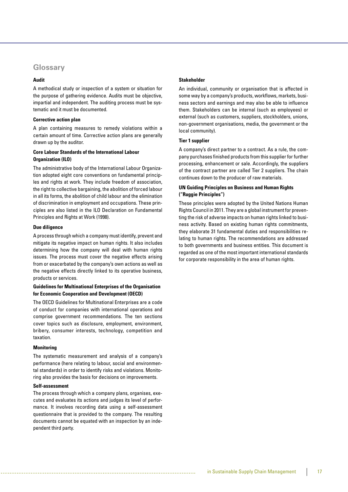## **Glossary**

#### **Audit**

A methodical study or inspection of a system or situation for the purpose of gathering evidence. Audits must be objective, impartial and independent. The auditing process must be systematic and it must be documented.

#### **Corrective action plan**

A plan containing measures to remedy violations within a certain amount of time. Corrective action plans are generally drawn up by the auditor.

#### **Core Labour Standards of the International Labour Organization (ILO)**

The administrative body of the International Labour Organization adopted eight core conventions on fundamental principles and rights at work. They include freedom of association, the right to collective bargaining, the abolition of forced labour in all its forms, the abolition of child labour and the elimination of discrimination in employment and occupations. These principles are also listed in the ILO Declaration on Fundamental Principles and Rights at Work (1998).

#### **Due diligence**

A process through which a company must identify, prevent and mitigate its negative impact on human rights. It also includes determining how the company will deal with human rights issues. The process must cover the negative effects arising from or exacerbated by the company's own actions as well as the negative effects directly linked to its operative business, products or services.

#### **Guidelines for Multinational Enterprises of the Organisation for Economic Cooperation and Development (OECD)**

The OECD Guidelines for Multinational Enterprises are a code of conduct for companies with international operations and comprise government recommendations. The ten sections cover topics such as disclosure, employment, environment, bribery, consumer interests, technology, competition and taxation.

#### **Monitoring**

The systematic measurement and analysis of a company's performance (here relating to labour, social and environmental standards) in order to identify risks and violations. Monitoring also provides the basis for decisions on improvements.

#### **Self-assessment**

The process through which a company plans, organises, executes and evaluates its actions and judges its level of performance. It involves recording data using a self-assessment questionnaire that is provided to the company. The resulting documents cannot be equated with an inspection by an independent third party.

#### **Stakeholder**

An individual, community or organisation that is affected in some way by a company's products, workflows, markets, business sectors and earnings and may also be able to influence them. Stakeholders can be internal (such as employees) or external (such as customers, suppliers, stockholders, unions, non-government organisations, media, the government or the local community).

#### **Tier 1 supplier**

A company's direct partner to a contract. As a rule, the company purchases finished products from this supplier for further processing, enhancement or sale. Accordingly, the suppliers of the contract partner are called Tier 2 suppliers. The chain continues down to the producer of raw materials.

#### **UN Guiding Principles on Business and Human Rights ("Ruggie Principles")**

These principles were adopted by the United Nations Human Rights Council in 2011. They are a global instrument for preventing the risk of adverse impacts on human rights linked to business activity. Based on existing human rights commitments, they elaborate 31 fundamental duties and responsibilities relating to human rights. The recommendations are addressed to both governments and business entities. This document is regarded as one of the most important international standards for corporate responsibility in the area of human rights.